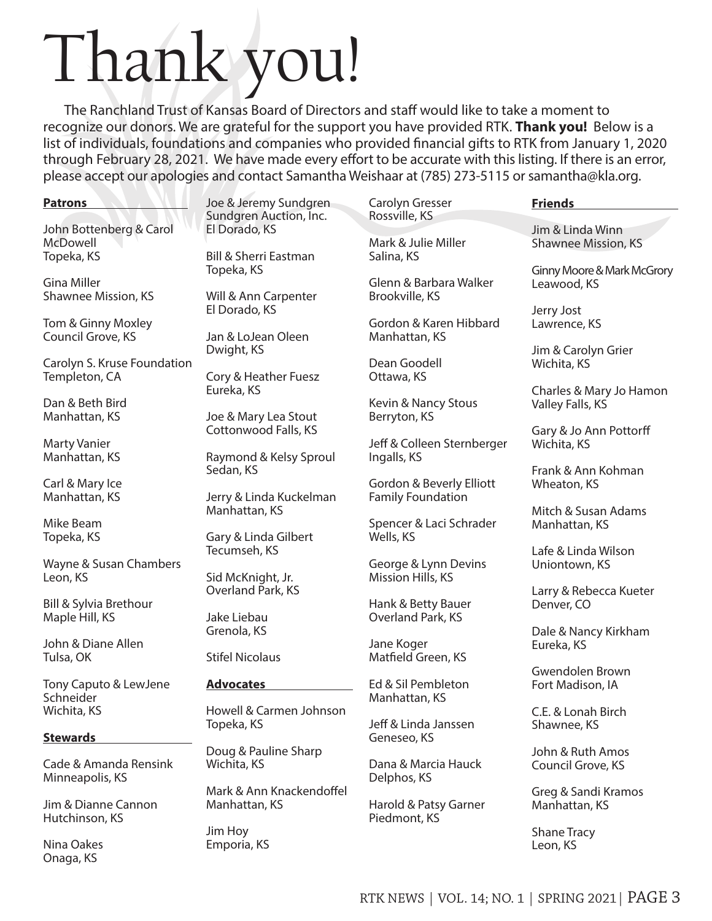# Thank you!

The Ranchland Trust of Kansas Board of Directors and staff would like to take a moment to recognize our donors. We are grateful for the support you have provided RTK. **Thank you!** Below is a list of individuals, foundations and companies who provided financial gifts to RTK from January 1, 2020 through February 28, 2021. We have made every effort to be accurate with this listing. If there is an error, please accept our apologies and contact Samantha Weishaar at (785) 273-5115 or samantha@kla.org.

## **Patrons**

John Bottenberg & Carol McDowell Topeka, KS

Gina Miller Shawnee Mission, KS

Tom & Ginny Moxley Council Grove, KS

Carolyn S. Kruse Foundation Templeton, CA

Dan & Beth Bird Manhattan, KS

Marty Vanier Manhattan, KS

Carl & Mary Ice Manhattan, KS

Mike Beam Topeka, KS

Wayne & Susan Chambers Leon, KS

Bill & Sylvia Brethour Maple Hill, KS

John & Diane Allen Tulsa, OK

Tony Caputo & LewJene Schneider Wichita, KS

## **Stewards**

Cade & Amanda Rensink Minneapolis, KS

Jim & Dianne Cannon Hutchinson, KS

Nina Oakes Onaga, KS

Joe & Jeremy Sundgren Sundgren Auction, Inc. El Dorado, KS

Bill & Sherri Eastman Topeka, KS

Will & Ann Carpenter El Dorado, KS

Jan & LoJean Oleen Dwight, KS

Cory & Heather Fuesz Eureka, KS

Joe & Mary Lea Stout Cottonwood Falls, KS

Raymond & Kelsy Sproul Sedan, KS

Jerry & Linda Kuckelman Manhattan, KS

Gary & Linda Gilbert Tecumseh, KS

Sid McKnight, Jr. Overland Park, KS

Jake Liebau Grenola, KS

Stifel Nicolaus

# **Advocates**

Howell & Carmen Johnson Topeka, KS

Doug & Pauline Sharp Wichita, KS

Mark & Ann Knackendoffel Manhattan, KS

Jim Hoy Emporia, KS Rossville, KS Mark & Julie Miller Salina, KS

Carolyn Gresser

Glenn & Barbara Walker Brookville, KS

Gordon & Karen Hibbard Manhattan, KS

Dean Goodell Ottawa, KS

Kevin & Nancy Stous Berryton, KS

Jeff & Colleen Sternberger Ingalls, KS

Gordon & Beverly Elliott Family Foundation

Spencer & Laci Schrader Wells, KS

George & Lynn Devins Mission Hills, KS

Hank & Betty Bauer Overland Park, KS

Jane Koger Matfield Green, KS

Ed & Sil Pembleton Manhattan, KS

Jeff & Linda Janssen Geneseo, KS

Dana & Marcia Hauck Delphos, KS

Harold & Patsy Garner Piedmont, KS

#### **Friends**

Jim & Linda Winn Shawnee Mission, KS

Ginny Moore & Mark McGrory Leawood, KS

Jerry Jost Lawrence, KS

Jim & Carolyn Grier Wichita, KS

Charles & Mary Jo Hamon Valley Falls, KS

Gary & Jo Ann Pottorff Wichita, KS

Frank & Ann Kohman Wheaton, KS

Mitch & Susan Adams Manhattan, KS

Lafe & Linda Wilson Uniontown, KS

Larry & Rebecca Kueter Denver, CO

Dale & Nancy Kirkham Eureka, KS

Gwendolen Brown Fort Madison, IA

C.E. & Lonah Birch Shawnee, KS

John & Ruth Amos Council Grove, KS

Greg & Sandi Kramos Manhattan, KS

Shane Tracy Leon, KS